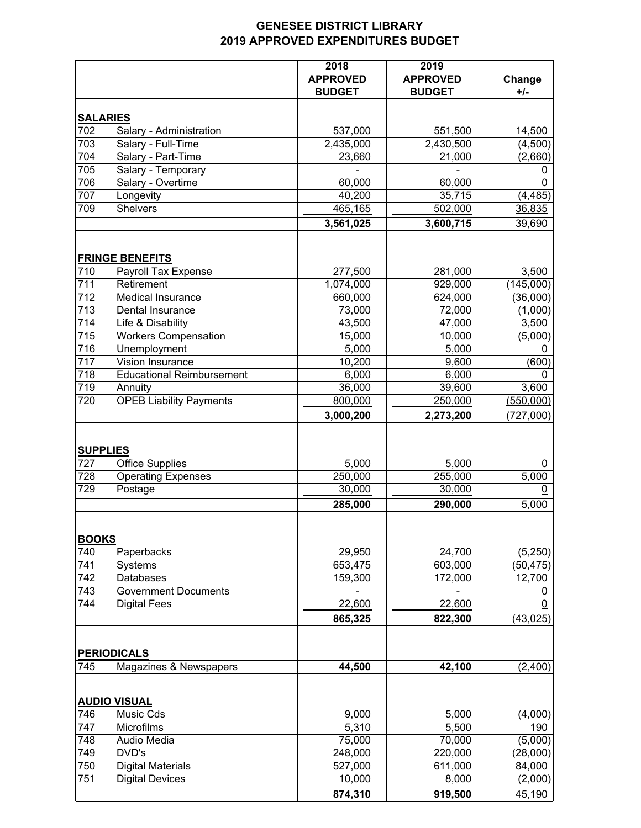## **GENESEE DISTRICT LIBRARY 2019 APPROVED EXPENDITURES BUDGET**

|                     |                                                                                   | 2018<br><b>APPROVED</b><br><b>BUDGET</b> | 2019<br><b>APPROVED</b><br><b>BUDGET</b> | Change<br>+/-      |
|---------------------|-----------------------------------------------------------------------------------|------------------------------------------|------------------------------------------|--------------------|
|                     | <b>SALARIES</b>                                                                   |                                          |                                          |                    |
| 702                 | Salary - Administration                                                           | 537,000                                  | 551,500                                  | 14,500             |
| 703                 | Salary - Full-Time                                                                | 2,435,000                                | 2,430,500                                | (4,500)            |
| 704                 | Salary - Part-Time                                                                | 23,660                                   | 21,000                                   | (2,660)            |
| 705                 | Salary - Temporary                                                                |                                          |                                          | 0                  |
| 706                 | Salary - Overtime                                                                 | 60,000                                   | 60,000                                   | $\Omega$           |
| 707                 | Longevity                                                                         | 40,200                                   | 35,715                                   | (4, 485)           |
| 709                 | <b>Shelvers</b>                                                                   | 465,165                                  | 502,000                                  | 36,835             |
|                     |                                                                                   | 3,561,025                                | 3,600,715                                | 39,690             |
|                     |                                                                                   |                                          |                                          |                    |
| 710                 | <b>FRINGE BENEFITS</b>                                                            |                                          | 281,000                                  |                    |
| 711                 | Payroll Tax Expense<br>Retirement                                                 | 277,500<br>1,074,000                     | 929,000                                  | 3,500<br>(145,000) |
| 712                 | Medical Insurance                                                                 | 660,000                                  | 624,000                                  | (36,000)           |
| $\overline{713}$    | Dental Insurance                                                                  | 73,000                                   | 72,000                                   |                    |
| 714                 | Life & Disability                                                                 | 43,500                                   | 47,000                                   | (1,000)<br>3,500   |
| $\overline{715}$    | <b>Workers Compensation</b>                                                       | 15,000                                   | 10,000                                   | (5,000)            |
| 716                 | Unemployment                                                                      | 5,000                                    | 5,000                                    | 0                  |
| 717                 | Vision Insurance                                                                  | 10,200                                   | 9,600                                    | (600)              |
| 718                 | <b>Educational Reimbursement</b>                                                  | 6,000                                    | 6,000                                    | 0                  |
| 719                 | Annuity                                                                           | 36,000                                   | 39,600                                   | 3,600              |
| 720                 | <b>OPEB Liability Payments</b>                                                    | 800,000                                  | 250,000                                  | (550,000)          |
|                     |                                                                                   | 3,000,200                                | 2,273,200                                | (727,000)          |
| 727<br>728<br>729   | <b>SUPPLIES</b><br><b>Office Supplies</b><br><b>Operating Expenses</b><br>Postage | 5,000<br>250,000<br>30,000               | 5,000<br>255,000<br>30,000               | 0<br>5,000<br>0    |
|                     |                                                                                   | 285,000                                  | 290,000                                  | 5,000              |
| <b>BOOKS</b><br>740 | Paperbacks                                                                        | 29,950                                   | 24,700                                   | (5,250)            |
| 741                 | Systems                                                                           | 653,475                                  | 603,000                                  | (50, 475)          |
| 742                 | Databases                                                                         | 159,300                                  | 172,000                                  | 12,700             |
| 743                 | <b>Government Documents</b>                                                       |                                          |                                          | 0                  |
| 744                 | <b>Digital Fees</b>                                                               | 22,600                                   | 22,600                                   | 0                  |
|                     |                                                                                   | 865,325                                  | 822,300                                  | (43, 025)          |
|                     |                                                                                   |                                          |                                          |                    |
|                     | <b>PERIODICALS</b>                                                                |                                          |                                          |                    |
| 745                 | Magazines & Newspapers                                                            | 44,500                                   | 42,100                                   | (2,400)            |
|                     | <b>AUDIO VISUAL</b>                                                               |                                          |                                          |                    |
| 746                 | Music Cds                                                                         | 9,000                                    | 5,000                                    | (4,000)            |
| 747                 | Microfilms                                                                        | 5,310                                    | 5,500                                    | 190                |
| 748                 | Audio Media                                                                       | 75,000                                   | 70,000                                   | (5,000)            |
| 749                 | DVD's                                                                             | 248,000                                  | 220,000                                  | (28,000)           |
| 750                 | <b>Digital Materials</b>                                                          | 527,000                                  | 611,000                                  | 84,000             |
| 751                 | <b>Digital Devices</b>                                                            | 10,000                                   | 8,000                                    | (2,000)            |
|                     |                                                                                   | 874,310                                  | 919,500                                  | 45,190             |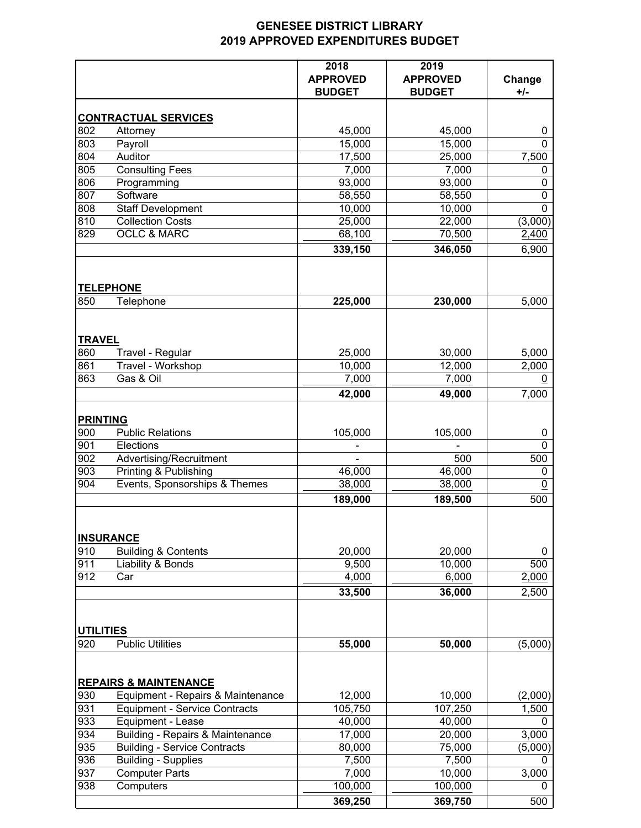## **GENESEE DISTRICT LIBRARY 2019 APPROVED EXPENDITURES BUDGET**

|                  |                                                     | 2018<br><b>APPROVED</b><br><b>BUDGET</b> | 2019<br><b>APPROVED</b><br><b>BUDGET</b> | Change<br>+/-  |
|------------------|-----------------------------------------------------|------------------------------------------|------------------------------------------|----------------|
|                  | <b>CONTRACTUAL SERVICES</b>                         |                                          |                                          |                |
| 802              | Attorney                                            | 45,000                                   | 45,000                                   | 0              |
| 803              | Payroll                                             | 15,000                                   | 15,000                                   | 0              |
| 804              | Auditor                                             | 17,500                                   | 25,000                                   | 7,500          |
| 805              | <b>Consulting Fees</b>                              | 7,000                                    | 7,000                                    | 0              |
| 806              | Programming                                         | 93,000                                   | 93,000                                   | 0              |
| 807              | Software                                            | 58,550                                   | 58,550                                   | 0              |
| 808              | <b>Staff Development</b>                            | 10,000                                   | 10,000                                   | 0              |
| 810              | <b>Collection Costs</b>                             | 25,000                                   | 22,000                                   | (3,000)        |
| 829              | <b>OCLC &amp; MARC</b>                              | 68,100<br>339,150                        | 70,500<br>346,050                        | 2,400<br>6,900 |
|                  | <b>TELEPHONE</b>                                    |                                          |                                          |                |
| 850              | Telephone                                           | 225,000                                  | 230,000                                  | 5,000          |
| <b>TRAVEL</b>    |                                                     |                                          |                                          |                |
| 860              | Travel - Regular                                    | 25,000                                   | 30,000                                   | 5,000          |
| 861              | Travel - Workshop                                   | 10,000                                   | 12,000                                   | 2,000          |
| 863              | Gas & Oil                                           | 7,000                                    | 7,000                                    | 0              |
|                  |                                                     | 42,000                                   | 49,000                                   | 7,000          |
| <b>PRINTING</b>  |                                                     |                                          |                                          |                |
| 900              | <b>Public Relations</b>                             | 105,000                                  | 105,000                                  | 0              |
| 901              | Elections                                           |                                          |                                          | 0              |
| 902              | Advertising/Recruitment                             |                                          | 500                                      | 500            |
| 903              | Printing & Publishing                               | 46,000                                   | 46,000                                   | 0              |
| 904              | Events, Sponsorships & Themes                       | 38,000                                   | 38,000                                   | 0              |
|                  |                                                     | 189,000                                  | 189,500                                  | 500            |
|                  | <b>INSURANCE</b>                                    |                                          |                                          |                |
| 910              | <b>Building &amp; Contents</b>                      | 20,000                                   | 20,000                                   | 0              |
| 911              | Liability & Bonds                                   | 9,500                                    | 10,000                                   | 500            |
| 912              | Car                                                 | 4,000                                    | 6,000                                    | 2,000          |
|                  |                                                     | 33,500                                   | 36,000                                   | 2,500          |
| <b>UTILITIES</b> |                                                     |                                          |                                          |                |
| 920              | <b>Public Utilities</b>                             | 55,000                                   | 50,000                                   | (5,000)        |
|                  | <b>REPAIRS &amp; MAINTENANCE</b>                    |                                          |                                          |                |
| 930              | Equipment - Repairs & Maintenance                   | 12,000                                   | 10,000                                   | (2,000)        |
| 931              | <b>Equipment - Service Contracts</b>                | 105,750                                  | 107,250                                  | 1,500          |
| 933              | <b>Equipment - Lease</b>                            | 40,000                                   | 40,000                                   | 0              |
| 934              | Building - Repairs & Maintenance                    | 17,000                                   | 20,000                                   | 3,000          |
| 935              | <b>Building - Service Contracts</b>                 | 80,000                                   | 75,000                                   | (5,000)        |
| 936              | <b>Building - Supplies</b><br><b>Computer Parts</b> | 7,500                                    | 7,500                                    | 0              |
| 937<br>938       | Computers                                           | 7,000<br>100,000                         | 10,000<br>100,000                        | 3,000<br>0     |
|                  |                                                     |                                          |                                          |                |
|                  |                                                     | 369,250                                  | 369,750                                  | 500            |